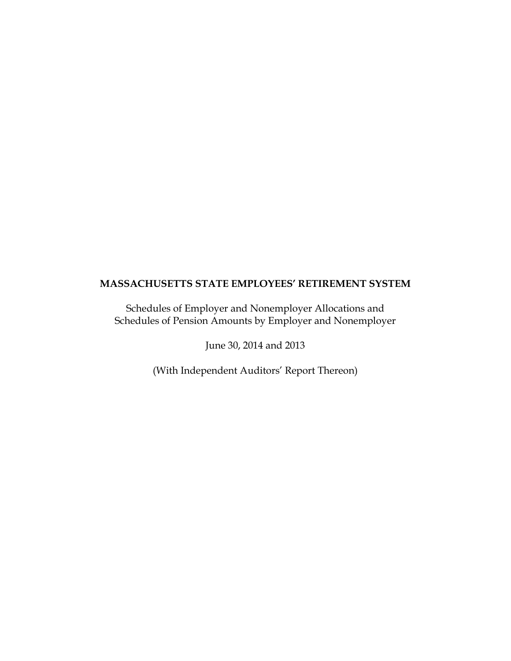Schedules of Employer and Nonemployer Allocations and Schedules of Pension Amounts by Employer and Nonemployer

June 30, 2014 and 2013

(With Independent Auditors' Report Thereon)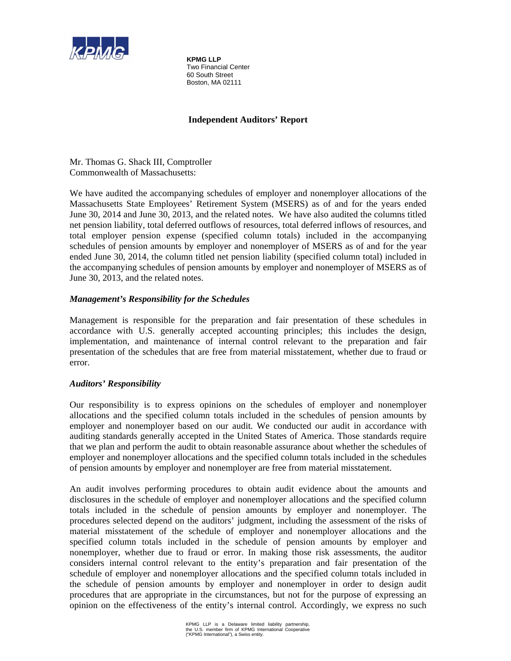

**KPMG LLP**  Two Financial Center 60 South Street Boston, MA 02111

# **Independent Auditors' Report**

Mr. Thomas G. Shack III, Comptroller Commonwealth of Massachusetts:

We have audited the accompanying schedules of employer and nonemployer allocations of the Massachusetts State Employees' Retirement System (MSERS) as of and for the years ended June 30, 2014 and June 30, 2013, and the related notes. We have also audited the columns titled net pension liability, total deferred outflows of resources, total deferred inflows of resources, and total employer pension expense (specified column totals) included in the accompanying schedules of pension amounts by employer and nonemployer of MSERS as of and for the year ended June 30, 2014, the column titled net pension liability (specified column total) included in the accompanying schedules of pension amounts by employer and nonemployer of MSERS as of June 30, 2013, and the related notes.

# *Management's Responsibility for the Schedules*

Management is responsible for the preparation and fair presentation of these schedules in accordance with U.S. generally accepted accounting principles; this includes the design, implementation, and maintenance of internal control relevant to the preparation and fair presentation of the schedules that are free from material misstatement, whether due to fraud or error.

# *Auditors' Responsibility*

Our responsibility is to express opinions on the schedules of employer and nonemployer allocations and the specified column totals included in the schedules of pension amounts by employer and nonemployer based on our audit. We conducted our audit in accordance with auditing standards generally accepted in the United States of America. Those standards require that we plan and perform the audit to obtain reasonable assurance about whether the schedules of employer and nonemployer allocations and the specified column totals included in the schedules of pension amounts by employer and nonemployer are free from material misstatement.

An audit involves performing procedures to obtain audit evidence about the amounts and disclosures in the schedule of employer and nonemployer allocations and the specified column totals included in the schedule of pension amounts by employer and nonemployer. The procedures selected depend on the auditors' judgment, including the assessment of the risks of material misstatement of the schedule of employer and nonemployer allocations and the specified column totals included in the schedule of pension amounts by employer and nonemployer, whether due to fraud or error. In making those risk assessments, the auditor considers internal control relevant to the entity's preparation and fair presentation of the schedule of employer and nonemployer allocations and the specified column totals included in the schedule of pension amounts by employer and nonemployer in order to design audit procedures that are appropriate in the circumstances, but not for the purpose of expressing an opinion on the effectiveness of the entity's internal control. Accordingly, we express no such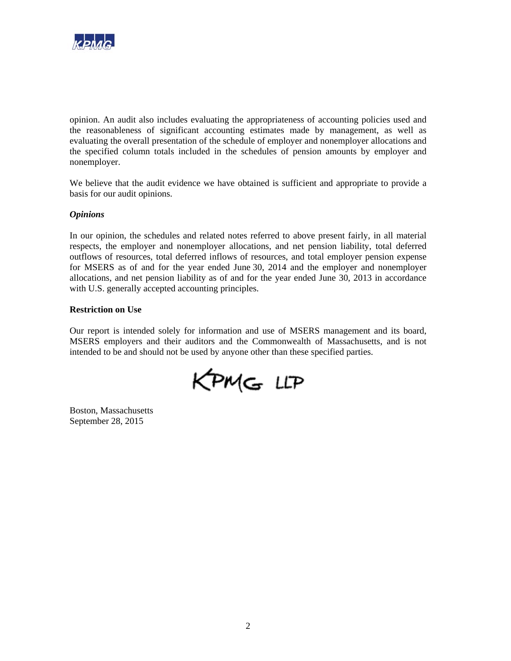

opinion. An audit also includes evaluating the appropriateness of accounting policies used and the reasonableness of significant accounting estimates made by management, as well as evaluating the overall presentation of the schedule of employer and nonemployer allocations and the specified column totals included in the schedules of pension amounts by employer and nonemployer.

We believe that the audit evidence we have obtained is sufficient and appropriate to provide a basis for our audit opinions.

## *Opinions*

In our opinion, the schedules and related notes referred to above present fairly, in all material respects, the employer and nonemployer allocations, and net pension liability, total deferred outflows of resources, total deferred inflows of resources, and total employer pension expense for MSERS as of and for the year ended June 30, 2014 and the employer and nonemployer allocations, and net pension liability as of and for the year ended June 30, 2013 in accordance with U.S. generally accepted accounting principles.

## **Restriction on Use**

Our report is intended solely for information and use of MSERS management and its board, MSERS employers and their auditors and the Commonwealth of Massachusetts, and is not intended to be and should not be used by anyone other than these specified parties.

KPMG LLP

Boston, Massachusetts September 28, 2015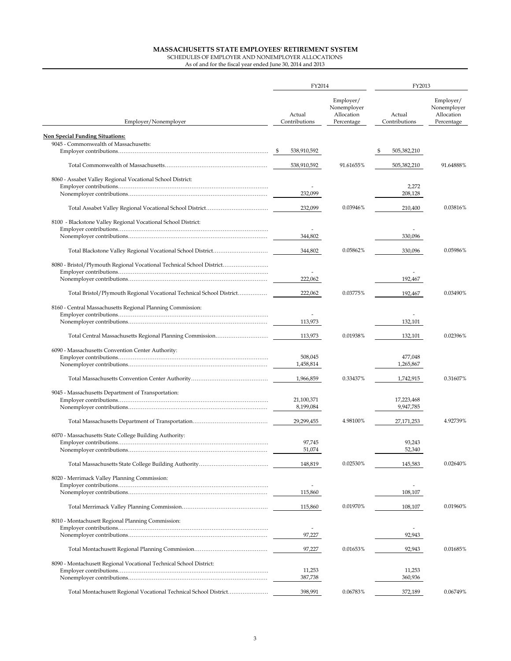|                                                                       | FY2014                  |                                                      | FY2013                  |                                                      |  |
|-----------------------------------------------------------------------|-------------------------|------------------------------------------------------|-------------------------|------------------------------------------------------|--|
| Employer/Nonemployer                                                  | Actual<br>Contributions | Employer/<br>Nonemployer<br>Allocation<br>Percentage | Actual<br>Contributions | Employer/<br>Nonemployer<br>Allocation<br>Percentage |  |
| <b>Non Special Funding Situations:</b>                                |                         |                                                      |                         |                                                      |  |
| 9045 - Commonwealth of Massachusetts:                                 |                         |                                                      |                         |                                                      |  |
|                                                                       | 538,910,592             |                                                      | 505,382,210<br>S        |                                                      |  |
|                                                                       | 538,910,592             | 91.61655%                                            | 505,382,210             | 91.64888%                                            |  |
| 8060 - Assabet Valley Regional Vocational School District:            |                         |                                                      |                         |                                                      |  |
|                                                                       | 232.099                 |                                                      | 2,272                   |                                                      |  |
|                                                                       |                         |                                                      | 208,128                 |                                                      |  |
|                                                                       | 232,099                 | 0.03946%                                             | 210,400                 | 0.03816%                                             |  |
| 8100 - Blackstone Valley Regional Vocational School District:         |                         |                                                      |                         |                                                      |  |
|                                                                       | 344,802                 |                                                      | 330,096                 |                                                      |  |
|                                                                       |                         |                                                      |                         |                                                      |  |
|                                                                       | 344,802                 | 0.05862%                                             | 330,096                 | 0.05986%                                             |  |
| 8080 - Bristol/Plymouth Regional Vocational Technical School District |                         |                                                      |                         |                                                      |  |
|                                                                       | 222,062                 |                                                      | 192,467                 |                                                      |  |
| Total Bristol/Plymouth Regional Vocational Technical School District  | 222.062                 | 0.03775%                                             | 192,467                 | 0.03490%                                             |  |
| 8160 - Central Massachusetts Regional Planning Commission:            |                         |                                                      |                         |                                                      |  |
|                                                                       |                         |                                                      |                         |                                                      |  |
|                                                                       | 113,973                 |                                                      | 132,101                 |                                                      |  |
|                                                                       | 113,973                 | 0.01938%                                             | 132,101                 | 0.02396%                                             |  |
| 6090 - Massachusetts Convention Center Authority:                     |                         |                                                      |                         |                                                      |  |
|                                                                       | 508,045                 |                                                      | 477,048                 |                                                      |  |
|                                                                       | 1,458,814               |                                                      | 1,265,867               |                                                      |  |
|                                                                       | 1,966,859               | 0.33437%                                             | 1,742,915               | 0.31607%                                             |  |
| 9045 - Massachusetts Department of Transportation:                    |                         |                                                      |                         |                                                      |  |
|                                                                       | 21,100,371              |                                                      | 17,223,468              |                                                      |  |
|                                                                       | 8,199,084               |                                                      | 9,947,785               |                                                      |  |
|                                                                       | 29,299,455              | 4.98100%                                             | 27,171,253              | 4.92739%                                             |  |
| 6070 - Massachusetts State College Building Authority:                |                         |                                                      |                         |                                                      |  |
|                                                                       | 97,745<br>51,074        |                                                      | 93,243<br>52,340        |                                                      |  |
|                                                                       |                         |                                                      |                         |                                                      |  |
|                                                                       | 148,819                 | 0.02530%                                             | 145,583                 | 0.02640%                                             |  |
| 8020 - Merrimack Valley Planning Commission:                          |                         |                                                      |                         |                                                      |  |
|                                                                       | 115,860                 |                                                      | 108,107                 |                                                      |  |
|                                                                       | 115,860                 | 0.01970%                                             | 108,107                 | 0.01960%                                             |  |
|                                                                       |                         |                                                      |                         |                                                      |  |
| 8010 - Montachusett Regional Planning Commission:                     | ä,                      |                                                      |                         |                                                      |  |
|                                                                       | 97,227                  |                                                      | 92,943                  |                                                      |  |
|                                                                       | 97,227                  | 0.01653%                                             | 92,943                  | 0.01685%                                             |  |
| 8090 - Montachusett Regional Vocational Technical School District:    |                         |                                                      |                         |                                                      |  |
|                                                                       | 11,253                  |                                                      | 11,253                  |                                                      |  |
|                                                                       | 387,738                 |                                                      | 360,936                 |                                                      |  |
| Total Montachusett Regional Vocational Technical School District      | 398,991                 | 0.06783%                                             | 372,189                 | 0.06749%                                             |  |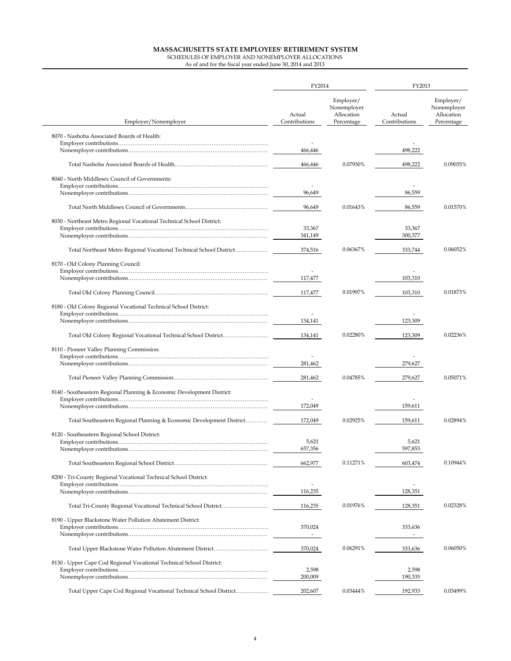|                                                                        | FY2014                    |                                                      | FY2013                  |                                                      |  |
|------------------------------------------------------------------------|---------------------------|------------------------------------------------------|-------------------------|------------------------------------------------------|--|
| Employer/Nonemployer                                                   | Actual<br>Contributions   | Employer/<br>Nonemployer<br>Allocation<br>Percentage | Actual<br>Contributions | Employer/<br>Nonemployer<br>Allocation<br>Percentage |  |
| 8070 - Nashoba Associated Boards of Health:                            |                           |                                                      |                         |                                                      |  |
|                                                                        | 466,446                   |                                                      | 498,222                 |                                                      |  |
|                                                                        | 466,446                   | 0.07930%                                             | 498,222                 | 0.09035%                                             |  |
| 8040 - North Middlesex Council of Governments:                         |                           |                                                      |                         |                                                      |  |
|                                                                        | 96,649                    |                                                      | 86,559                  |                                                      |  |
|                                                                        | 96,649                    | 0.01643%                                             | 86,559                  | 0.01570%                                             |  |
|                                                                        |                           |                                                      |                         |                                                      |  |
| 8030 - Northeast Metro Regional Vocational Technical School District:  | 33,367                    |                                                      | 33,367                  |                                                      |  |
|                                                                        | 341,149                   |                                                      | 300,377                 |                                                      |  |
| Total Northeast Metro Regional Vocational Technical School District    | 374,516                   | 0.06367%                                             | 333,744                 | 0.06052%                                             |  |
| 8170 - Old Colony Planning Council:                                    |                           |                                                      |                         |                                                      |  |
|                                                                        | 117,477                   |                                                      | 103,310                 |                                                      |  |
|                                                                        | 117,477                   | 0.01997%                                             | 103,310                 | 0.01873%                                             |  |
| 8180 - Old Colony Regional Vocational Technical School District:       |                           |                                                      |                         |                                                      |  |
|                                                                        | $\overline{a}$<br>134,141 |                                                      | 123,309                 |                                                      |  |
|                                                                        | 134,141                   | 0.02280%                                             | 123,309                 | 0.02236%                                             |  |
|                                                                        |                           |                                                      |                         |                                                      |  |
| 8110 - Pioneer Valley Planning Commission:                             |                           |                                                      |                         |                                                      |  |
|                                                                        | 281,462                   |                                                      | 279,627                 |                                                      |  |
|                                                                        | 281,462                   | 0.04785%                                             | 279,627                 | 0.05071%                                             |  |
| 8140 - Southeastern Regional Planning & Economic Development District: |                           |                                                      |                         |                                                      |  |
|                                                                        | 172,049                   |                                                      | 159,611                 |                                                      |  |
| Total Southeastern Regional Planning & Economic Development District   | 172,049                   | 0.02925%                                             | 159,611                 | 0.02894%                                             |  |
| 8120 - Southeastern Regional School District:                          |                           |                                                      |                         |                                                      |  |
|                                                                        | 5,621<br>657,356          |                                                      | 5,621<br>597,853        |                                                      |  |
|                                                                        | 662,977                   | 0.11271%                                             | 603,474                 | 0.10944%                                             |  |
| 8200 - Tri-County Regional Vocational Technical School District:       |                           |                                                      |                         |                                                      |  |
|                                                                        | 116,235                   |                                                      | 128,351                 |                                                      |  |
| Total Tri-County Regional Vocational Technical School District         | 116,235                   | 0.01976%                                             | 128,351                 | 0.02328%                                             |  |
| 8190 - Upper Blackstone Water Pollution Abatement District:            |                           |                                                      |                         |                                                      |  |
|                                                                        | 370,024                   |                                                      | 333,636                 |                                                      |  |
|                                                                        |                           |                                                      |                         |                                                      |  |
|                                                                        | 370,024                   | 0.06291%                                             | 333,636                 | $0.06050\%$                                          |  |
| 8130 - Upper Cape Cod Regional Vocational Technical School District:   | 2,598                     |                                                      | 2,598                   |                                                      |  |
|                                                                        | 200,009                   |                                                      | 190,335                 |                                                      |  |
| Total Upper Cape Cod Regional Vocational Technical School District     | 202,607                   | 0.03444%                                             | 192,933                 | 0.03499%                                             |  |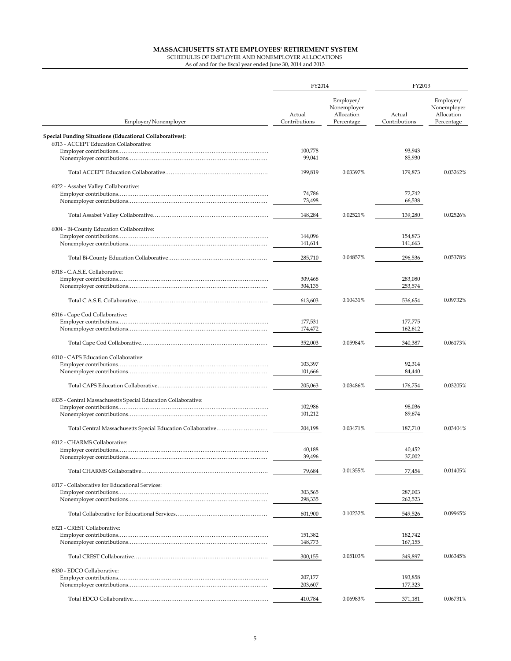|                                                                 | FY2014                  |                                                      | FY2013                  |                                                      |  |
|-----------------------------------------------------------------|-------------------------|------------------------------------------------------|-------------------------|------------------------------------------------------|--|
| Employer/Nonemployer                                            | Actual<br>Contributions | Employer/<br>Nonemployer<br>Allocation<br>Percentage | Actual<br>Contributions | Employer/<br>Nonemployer<br>Allocation<br>Percentage |  |
| <b>Special Funding Situations (Educational Collaboratives):</b> |                         |                                                      |                         |                                                      |  |
| 6013 - ACCEPT Education Collaborative:                          |                         |                                                      |                         |                                                      |  |
|                                                                 | 100,778                 |                                                      | 93,943                  |                                                      |  |
|                                                                 | 99,041                  |                                                      | 85,930                  |                                                      |  |
|                                                                 | 199,819                 | 0.03397%                                             | 179,873                 | 0.03262%                                             |  |
| 6022 - Assabet Valley Collaborative:                            |                         |                                                      |                         |                                                      |  |
|                                                                 | 74,786                  |                                                      | 72,742                  |                                                      |  |
|                                                                 | 73,498                  |                                                      | 66,538                  |                                                      |  |
|                                                                 | 148,284                 | 0.02521%                                             | 139,280                 | 0.02526%                                             |  |
| 6004 - Bi-County Education Collaborative:                       |                         |                                                      |                         |                                                      |  |
|                                                                 | 144,096                 |                                                      | 154,873                 |                                                      |  |
|                                                                 | 141,614                 |                                                      | 141,663                 |                                                      |  |
|                                                                 | 285,710                 | 0.04857%                                             | 296,536                 | 0.05378%                                             |  |
| 6018 - C.A.S.E. Collaborative:                                  |                         |                                                      |                         |                                                      |  |
|                                                                 | 309,468                 |                                                      | 283,080                 |                                                      |  |
|                                                                 | 304,135                 |                                                      | 253,574                 |                                                      |  |
|                                                                 | 613,603                 | 0.10431%                                             | 536,654                 | 0.09732%                                             |  |
| 6016 - Cape Cod Collaborative:                                  |                         |                                                      |                         |                                                      |  |
|                                                                 | 177,531                 |                                                      | 177,775                 |                                                      |  |
|                                                                 | 174,472                 |                                                      | 162,612                 |                                                      |  |
|                                                                 | 352,003                 | 0.05984%                                             | 340,387                 | 0.06173%                                             |  |
| 6010 - CAPS Education Collaborative:                            |                         |                                                      |                         |                                                      |  |
|                                                                 | 103,397                 |                                                      | 92,314                  |                                                      |  |
|                                                                 | 101,666                 |                                                      | 84,440                  |                                                      |  |
|                                                                 | 205,063                 | 0.03486%                                             | 176,754                 | 0.03205%                                             |  |
| 6035 - Central Massachusetts Special Education Collaborative:   |                         |                                                      |                         |                                                      |  |
|                                                                 | 102,986                 |                                                      | 98,036                  |                                                      |  |
|                                                                 | 101,212                 |                                                      | 89,674                  |                                                      |  |
| Total Central Massachusetts Special Education Collaborative     | 204,198                 | 0.03471%                                             | 187,710                 | 0.03404%                                             |  |
| 6012 - CHARMS Collaborative:                                    |                         |                                                      |                         |                                                      |  |
|                                                                 | 40,188                  |                                                      | 40,452                  |                                                      |  |
|                                                                 | 39,496                  |                                                      | 37,002                  |                                                      |  |
|                                                                 | 79,684                  | 0.01355%                                             | 77,454                  | 0.01405%                                             |  |
| 6017 - Collaborative for Educational Services:                  |                         |                                                      |                         |                                                      |  |
|                                                                 | 303,565                 |                                                      | 287,003                 |                                                      |  |
|                                                                 | 298,335                 |                                                      | 262,523                 |                                                      |  |
|                                                                 | 601,900                 | 0.10232%                                             | 549,526                 | 0.09965%                                             |  |
| 6021 - CREST Collaborative:                                     |                         |                                                      |                         |                                                      |  |
|                                                                 | 151,382                 |                                                      | 182,742                 |                                                      |  |
|                                                                 | 148,773                 |                                                      | 167,155                 |                                                      |  |
|                                                                 | 300,155                 | 0.05103%                                             | 349,897                 | 0.06345%                                             |  |
| 6030 - EDCO Collaborative:                                      |                         |                                                      |                         |                                                      |  |
|                                                                 | 207,177                 |                                                      | 193,858                 |                                                      |  |
|                                                                 | 203,607                 |                                                      | 177,323                 |                                                      |  |
|                                                                 |                         |                                                      |                         |                                                      |  |
|                                                                 | 410,784                 | 0.06983%                                             | 371,181                 | 0.06731%                                             |  |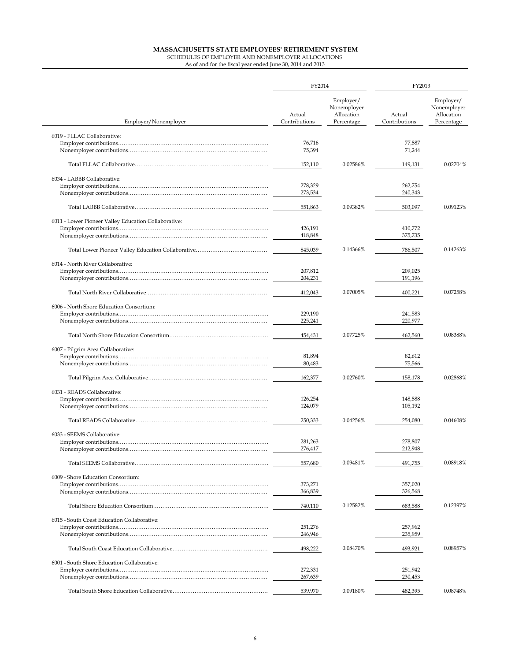| Employer/<br>Nonemployer<br>Allocation<br>Actual<br>Actual<br>Employer/Nonemployer<br>Contributions<br>Percentage<br>Contributions<br>6019 - FLLAC Collaborative:<br>77,887<br>76,716<br>75,394<br>71,244<br>0.02586%<br>149,131<br>152,110<br>6034 - LABBB Collaborative:<br>278,329<br>262,754<br>273,534<br>240,343<br>0.09382%<br>551,863<br>503,097<br>6011 - Lower Pioneer Valley Education Collaborative:<br>426,191<br>410,772<br>418,848<br>375,735<br>845,039<br>0.14366%<br>786,507<br>6014 - North River Collaborative:<br>207,812<br>209,025<br>204,231<br>191,196<br>0.07005%<br>412,043<br>400,221<br>6006 - North Shore Education Consortium:<br>229,190<br>241,583<br>220,977<br>225,241<br>0.07725%<br>0.08388%<br>454,431<br>462,560<br>6007 - Pilgrim Area Collaborative:<br>81,894<br>82,612<br>80,483<br>75,566<br>0.02760%<br>162,377<br>158,178<br>6031 - READS Collaborative:<br>148,888<br>126,254<br>124,079<br>105,192<br>0.04256%<br>250,333<br>254,080<br>6033 - SEEMS Collaborative:<br>281,263<br>278,807<br>276,417<br>212,948<br>0.09481%<br>557,680<br>491,755<br>6009 - Shore Education Consortium:<br>373,271<br>357.020<br>366,839<br>326,568<br>0.12582%<br>683,588<br>740,110<br>6015 - South Coast Education Collaborative:<br>257,962<br>251,276<br>246,946<br>235,959 | FY2014 |  | FY2013 |                                                      |  |
|------------------------------------------------------------------------------------------------------------------------------------------------------------------------------------------------------------------------------------------------------------------------------------------------------------------------------------------------------------------------------------------------------------------------------------------------------------------------------------------------------------------------------------------------------------------------------------------------------------------------------------------------------------------------------------------------------------------------------------------------------------------------------------------------------------------------------------------------------------------------------------------------------------------------------------------------------------------------------------------------------------------------------------------------------------------------------------------------------------------------------------------------------------------------------------------------------------------------------------------------------------------------------------------------------------------|--------|--|--------|------------------------------------------------------|--|
|                                                                                                                                                                                                                                                                                                                                                                                                                                                                                                                                                                                                                                                                                                                                                                                                                                                                                                                                                                                                                                                                                                                                                                                                                                                                                                                  |        |  |        | Employer/<br>Nonemployer<br>Allocation<br>Percentage |  |
|                                                                                                                                                                                                                                                                                                                                                                                                                                                                                                                                                                                                                                                                                                                                                                                                                                                                                                                                                                                                                                                                                                                                                                                                                                                                                                                  |        |  |        |                                                      |  |
|                                                                                                                                                                                                                                                                                                                                                                                                                                                                                                                                                                                                                                                                                                                                                                                                                                                                                                                                                                                                                                                                                                                                                                                                                                                                                                                  |        |  |        |                                                      |  |
|                                                                                                                                                                                                                                                                                                                                                                                                                                                                                                                                                                                                                                                                                                                                                                                                                                                                                                                                                                                                                                                                                                                                                                                                                                                                                                                  |        |  |        | 0.02704%                                             |  |
|                                                                                                                                                                                                                                                                                                                                                                                                                                                                                                                                                                                                                                                                                                                                                                                                                                                                                                                                                                                                                                                                                                                                                                                                                                                                                                                  |        |  |        |                                                      |  |
|                                                                                                                                                                                                                                                                                                                                                                                                                                                                                                                                                                                                                                                                                                                                                                                                                                                                                                                                                                                                                                                                                                                                                                                                                                                                                                                  |        |  |        |                                                      |  |
|                                                                                                                                                                                                                                                                                                                                                                                                                                                                                                                                                                                                                                                                                                                                                                                                                                                                                                                                                                                                                                                                                                                                                                                                                                                                                                                  |        |  |        | 0.09123%                                             |  |
|                                                                                                                                                                                                                                                                                                                                                                                                                                                                                                                                                                                                                                                                                                                                                                                                                                                                                                                                                                                                                                                                                                                                                                                                                                                                                                                  |        |  |        |                                                      |  |
|                                                                                                                                                                                                                                                                                                                                                                                                                                                                                                                                                                                                                                                                                                                                                                                                                                                                                                                                                                                                                                                                                                                                                                                                                                                                                                                  |        |  |        |                                                      |  |
|                                                                                                                                                                                                                                                                                                                                                                                                                                                                                                                                                                                                                                                                                                                                                                                                                                                                                                                                                                                                                                                                                                                                                                                                                                                                                                                  |        |  |        |                                                      |  |
|                                                                                                                                                                                                                                                                                                                                                                                                                                                                                                                                                                                                                                                                                                                                                                                                                                                                                                                                                                                                                                                                                                                                                                                                                                                                                                                  |        |  |        | 0.14263%                                             |  |
|                                                                                                                                                                                                                                                                                                                                                                                                                                                                                                                                                                                                                                                                                                                                                                                                                                                                                                                                                                                                                                                                                                                                                                                                                                                                                                                  |        |  |        |                                                      |  |
|                                                                                                                                                                                                                                                                                                                                                                                                                                                                                                                                                                                                                                                                                                                                                                                                                                                                                                                                                                                                                                                                                                                                                                                                                                                                                                                  |        |  |        |                                                      |  |
|                                                                                                                                                                                                                                                                                                                                                                                                                                                                                                                                                                                                                                                                                                                                                                                                                                                                                                                                                                                                                                                                                                                                                                                                                                                                                                                  |        |  |        | 0.07258%                                             |  |
|                                                                                                                                                                                                                                                                                                                                                                                                                                                                                                                                                                                                                                                                                                                                                                                                                                                                                                                                                                                                                                                                                                                                                                                                                                                                                                                  |        |  |        |                                                      |  |
|                                                                                                                                                                                                                                                                                                                                                                                                                                                                                                                                                                                                                                                                                                                                                                                                                                                                                                                                                                                                                                                                                                                                                                                                                                                                                                                  |        |  |        |                                                      |  |
|                                                                                                                                                                                                                                                                                                                                                                                                                                                                                                                                                                                                                                                                                                                                                                                                                                                                                                                                                                                                                                                                                                                                                                                                                                                                                                                  |        |  |        |                                                      |  |
|                                                                                                                                                                                                                                                                                                                                                                                                                                                                                                                                                                                                                                                                                                                                                                                                                                                                                                                                                                                                                                                                                                                                                                                                                                                                                                                  |        |  |        |                                                      |  |
|                                                                                                                                                                                                                                                                                                                                                                                                                                                                                                                                                                                                                                                                                                                                                                                                                                                                                                                                                                                                                                                                                                                                                                                                                                                                                                                  |        |  |        |                                                      |  |
|                                                                                                                                                                                                                                                                                                                                                                                                                                                                                                                                                                                                                                                                                                                                                                                                                                                                                                                                                                                                                                                                                                                                                                                                                                                                                                                  |        |  |        |                                                      |  |
|                                                                                                                                                                                                                                                                                                                                                                                                                                                                                                                                                                                                                                                                                                                                                                                                                                                                                                                                                                                                                                                                                                                                                                                                                                                                                                                  |        |  |        | 0.02868%                                             |  |
|                                                                                                                                                                                                                                                                                                                                                                                                                                                                                                                                                                                                                                                                                                                                                                                                                                                                                                                                                                                                                                                                                                                                                                                                                                                                                                                  |        |  |        |                                                      |  |
|                                                                                                                                                                                                                                                                                                                                                                                                                                                                                                                                                                                                                                                                                                                                                                                                                                                                                                                                                                                                                                                                                                                                                                                                                                                                                                                  |        |  |        |                                                      |  |
|                                                                                                                                                                                                                                                                                                                                                                                                                                                                                                                                                                                                                                                                                                                                                                                                                                                                                                                                                                                                                                                                                                                                                                                                                                                                                                                  |        |  |        |                                                      |  |
|                                                                                                                                                                                                                                                                                                                                                                                                                                                                                                                                                                                                                                                                                                                                                                                                                                                                                                                                                                                                                                                                                                                                                                                                                                                                                                                  |        |  |        | 0.04608%                                             |  |
|                                                                                                                                                                                                                                                                                                                                                                                                                                                                                                                                                                                                                                                                                                                                                                                                                                                                                                                                                                                                                                                                                                                                                                                                                                                                                                                  |        |  |        |                                                      |  |
|                                                                                                                                                                                                                                                                                                                                                                                                                                                                                                                                                                                                                                                                                                                                                                                                                                                                                                                                                                                                                                                                                                                                                                                                                                                                                                                  |        |  |        |                                                      |  |
|                                                                                                                                                                                                                                                                                                                                                                                                                                                                                                                                                                                                                                                                                                                                                                                                                                                                                                                                                                                                                                                                                                                                                                                                                                                                                                                  |        |  |        | 0.08918%                                             |  |
|                                                                                                                                                                                                                                                                                                                                                                                                                                                                                                                                                                                                                                                                                                                                                                                                                                                                                                                                                                                                                                                                                                                                                                                                                                                                                                                  |        |  |        |                                                      |  |
|                                                                                                                                                                                                                                                                                                                                                                                                                                                                                                                                                                                                                                                                                                                                                                                                                                                                                                                                                                                                                                                                                                                                                                                                                                                                                                                  |        |  |        |                                                      |  |
|                                                                                                                                                                                                                                                                                                                                                                                                                                                                                                                                                                                                                                                                                                                                                                                                                                                                                                                                                                                                                                                                                                                                                                                                                                                                                                                  |        |  |        | 0.12397%                                             |  |
|                                                                                                                                                                                                                                                                                                                                                                                                                                                                                                                                                                                                                                                                                                                                                                                                                                                                                                                                                                                                                                                                                                                                                                                                                                                                                                                  |        |  |        |                                                      |  |
|                                                                                                                                                                                                                                                                                                                                                                                                                                                                                                                                                                                                                                                                                                                                                                                                                                                                                                                                                                                                                                                                                                                                                                                                                                                                                                                  |        |  |        |                                                      |  |
|                                                                                                                                                                                                                                                                                                                                                                                                                                                                                                                                                                                                                                                                                                                                                                                                                                                                                                                                                                                                                                                                                                                                                                                                                                                                                                                  |        |  |        |                                                      |  |
| 0.08470%<br>498,222<br>493,921                                                                                                                                                                                                                                                                                                                                                                                                                                                                                                                                                                                                                                                                                                                                                                                                                                                                                                                                                                                                                                                                                                                                                                                                                                                                                   |        |  |        | 0.08957%                                             |  |
| 6001 - South Shore Education Collaborative:<br>251,942<br>272,331                                                                                                                                                                                                                                                                                                                                                                                                                                                                                                                                                                                                                                                                                                                                                                                                                                                                                                                                                                                                                                                                                                                                                                                                                                                |        |  |        |                                                      |  |
| 267,639<br>230,453                                                                                                                                                                                                                                                                                                                                                                                                                                                                                                                                                                                                                                                                                                                                                                                                                                                                                                                                                                                                                                                                                                                                                                                                                                                                                               |        |  |        |                                                      |  |
| 0.09180%<br>539,970<br>482,395                                                                                                                                                                                                                                                                                                                                                                                                                                                                                                                                                                                                                                                                                                                                                                                                                                                                                                                                                                                                                                                                                                                                                                                                                                                                                   |        |  |        | 0.08748%                                             |  |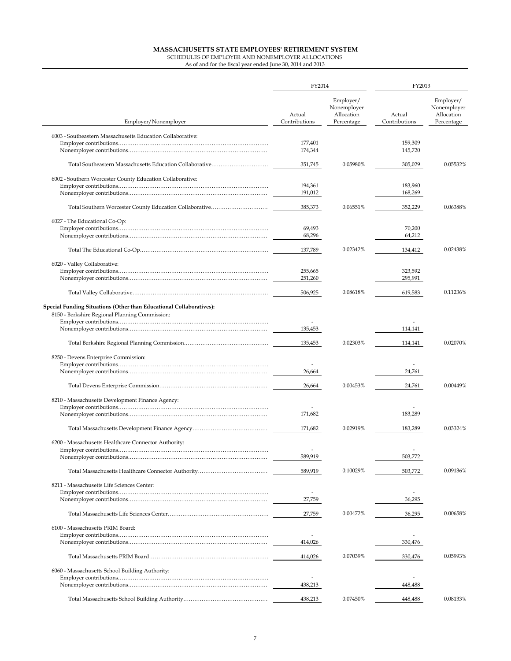|                                                                                                                              | FY2014                  |                                                      | FY2013                  |                                                      |  |
|------------------------------------------------------------------------------------------------------------------------------|-------------------------|------------------------------------------------------|-------------------------|------------------------------------------------------|--|
| Employer/Nonemployer                                                                                                         | Actual<br>Contributions | Employer/<br>Nonemployer<br>Allocation<br>Percentage | Actual<br>Contributions | Employer/<br>Nonemployer<br>Allocation<br>Percentage |  |
| 6003 - Southeastern Massachusetts Education Collaborative:                                                                   | 177,401<br>174,344      |                                                      | 159,309<br>145,720      |                                                      |  |
|                                                                                                                              | 351,745                 | 0.05980%                                             | 305,029                 | 0.05532%                                             |  |
| 6002 - Southern Worcester County Education Collaborative:                                                                    | 194,361                 |                                                      | 183,960                 |                                                      |  |
|                                                                                                                              | 191,012                 |                                                      | 168,269                 |                                                      |  |
|                                                                                                                              | 385,373                 | 0.06551%                                             | 352,229                 | 0.06388%                                             |  |
| 6027 - The Educational Co-Op:                                                                                                | 69,493                  |                                                      | 70,200                  |                                                      |  |
|                                                                                                                              | 68,296                  |                                                      | 64,212                  |                                                      |  |
|                                                                                                                              | 137,789                 | 0.02342%                                             | 134,412                 | 0.02438%                                             |  |
| 6020 - Valley Collaborative:                                                                                                 | 255,665<br>251,260      |                                                      | 323,592<br>295,991      |                                                      |  |
|                                                                                                                              | 506,925                 | 0.08618%                                             | 619,583                 | 0.11236%                                             |  |
| <b>Special Funding Situations (Other than Educational Collaboratives):</b><br>8150 - Berkshire Regional Planning Commission: |                         |                                                      |                         |                                                      |  |
|                                                                                                                              | 135,453                 |                                                      | 114,141                 |                                                      |  |
|                                                                                                                              | 135,453                 | 0.02303%                                             | 114,141                 | 0.02070%                                             |  |
| 8250 - Devens Enterprise Commission:                                                                                         |                         |                                                      |                         |                                                      |  |
|                                                                                                                              | 26,664                  |                                                      | 24,761                  |                                                      |  |
|                                                                                                                              | 26,664                  | 0.00453%                                             | 24,761                  | 0.00449%                                             |  |
| 8210 - Massachusetts Development Finance Agency:                                                                             |                         |                                                      |                         |                                                      |  |
|                                                                                                                              | 171,682                 |                                                      | 183,289                 |                                                      |  |
|                                                                                                                              | 171,682                 | 0.02919%                                             | 183,289                 | 0.03324%                                             |  |
| 6200 - Massachusetts Healthcare Connector Authority:                                                                         |                         |                                                      |                         |                                                      |  |
|                                                                                                                              | 589,919                 |                                                      | 503,772                 |                                                      |  |
|                                                                                                                              | 589,919                 | 0.10029%                                             | 503,772                 | 0.09136%                                             |  |
| 8211 - Massachusetts Life Sciences Center:                                                                                   |                         |                                                      |                         |                                                      |  |
|                                                                                                                              | 27,759                  |                                                      | 36,295                  |                                                      |  |
|                                                                                                                              | 27,759                  | 0.00472%                                             | 36,295                  | 0.00658%                                             |  |
| 6100 - Massachusetts PRIM Board:                                                                                             |                         |                                                      |                         |                                                      |  |
|                                                                                                                              | 414,026                 |                                                      | 330,476                 |                                                      |  |
|                                                                                                                              | 414,026                 | 0.07039%                                             | 330,476                 | 0.05993%                                             |  |
| 6060 - Massachusetts School Building Authority:                                                                              |                         |                                                      |                         |                                                      |  |
|                                                                                                                              | 438,213                 |                                                      | 448,488                 |                                                      |  |
|                                                                                                                              | 438,213                 | 0.07450%                                             | 448,488                 | 0.08133%                                             |  |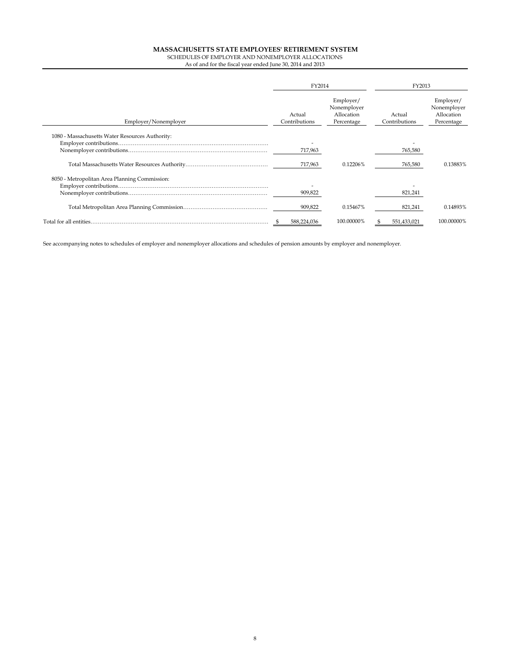As of and for the fiscal year ended June 30, 2014 and 2013

|                                                 | FY2014                  |                                                      | FY2013                  |                                                      |  |
|-------------------------------------------------|-------------------------|------------------------------------------------------|-------------------------|------------------------------------------------------|--|
| Employer/Nonemployer                            | Actual<br>Contributions | Employer/<br>Nonemployer<br>Allocation<br>Percentage | Actual<br>Contributions | Employer/<br>Nonemployer<br>Allocation<br>Percentage |  |
| 1080 - Massachusetts Water Resources Authority: | 717,963                 |                                                      | 765,580                 |                                                      |  |
|                                                 | 717,963                 | 0.12206%                                             | 765,580                 | 0.13883%                                             |  |
| 8050 - Metropolitan Area Planning Commission:   | 909,822                 |                                                      | 821,241                 |                                                      |  |
|                                                 | 909,822                 | 0.15467%                                             | 821,241                 | 0.14893%                                             |  |
| Total for all entities                          | 588,224,036             | 100.00000%                                           | 551,433,021             | 100.00000%                                           |  |

See accompanying notes to schedules of employer and nonemployer allocations and schedules of pension amounts by employer and nonemployer.

j.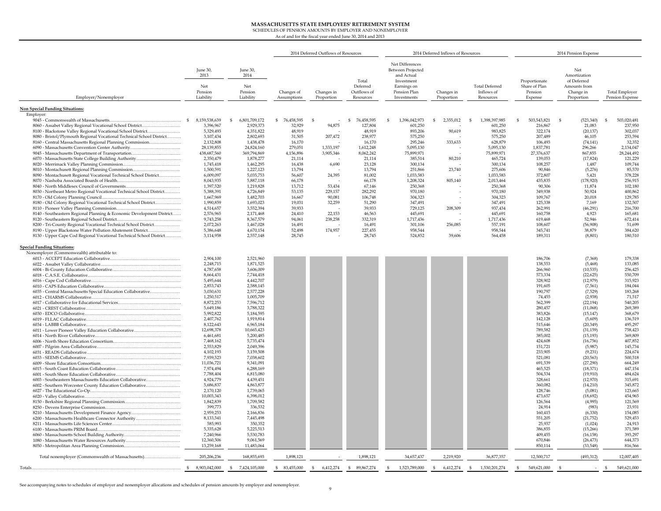# **MASSACHUSETTS STATE EMPLOYEES' RETIREMENT SYSTEM** SCHEDULES OF PENSION AMOUNTS BY EMPLOYER AND NONEMPLOYER

As of and for the fiscal year ended June 30, 2014 and 2013

|                                                                                                       |                                                 |                                                 |                           | 2014 Deferred Outflows of Resources |                                               |                                                                                                                | 2014 Deferred Inflows of Resources |                                                  |                                                      | 2014 Pension Expense                                                          |                                          |
|-------------------------------------------------------------------------------------------------------|-------------------------------------------------|-------------------------------------------------|---------------------------|-------------------------------------|-----------------------------------------------|----------------------------------------------------------------------------------------------------------------|------------------------------------|--------------------------------------------------|------------------------------------------------------|-------------------------------------------------------------------------------|------------------------------------------|
| Employer/Nonemployer                                                                                  | June 30,<br>2013<br>Net<br>Pension<br>Liability | June 30,<br>2014<br>Net<br>Pension<br>Liability | Changes of<br>Assumptions | Changes in<br>Proportion            | Total<br>Deferred<br>Outflows of<br>Resources | Net Differences<br>Between Projected<br>and Actual<br>Investment<br>Earnings on<br>Pension Plan<br>Investments | Changes in<br>Proportion           | <b>Total Deferred</b><br>Inflows of<br>Resources | Proportionate<br>Share of Plan<br>Pension<br>Expense | Net<br>Amortization<br>of Deferred<br>Amounts from<br>Change in<br>Proportion | <b>Total Employer</b><br>Pension Expense |
| <b>Non Special Funding Situations:</b>                                                                |                                                 |                                                 |                           |                                     |                                               |                                                                                                                |                                    |                                                  |                                                      |                                                                               |                                          |
| Employer:                                                                                             | $\mathbf{s}$<br>8,159,538,639                   | \$<br>6,801,709,172                             | \$76,458,595              | S                                   | <sup>S</sup><br>76,458,595                    | <sup>\$</sup><br>1,396,042,973                                                                                 | \$<br>2,355,012                    | $\mathbf{s}$<br>1,398,397,985                    | 503,543,821<br>\$                                    | <sup>S</sup><br>(523, 340)                                                    | 503,020,481<br><sup>S</sup>              |
| 8060 - Assabet Valley Regional Vocational School District                                             | 3,396,967                                       | 2,929,373                                       | 32,929                    | 94,875                              | 127,804                                       | 601,250                                                                                                        |                                    | 601,250                                          | 216,867                                              | 21,083                                                                        | 237,950                                  |
| 8100 - Blackstone Valley Regional Vocational School District                                          | 5,329,493                                       | 4,351,822                                       | 48,919                    |                                     | 48,919                                        | 893,206                                                                                                        | 90,619                             | 983,825                                          | 322,174                                              | (20, 137)                                                                     | 302,037                                  |
| 8080 - Bristol/Plymouth Regional Vocational Technical School District                                 | 3,107,434                                       | 2,802,693                                       | 31,505                    | 207,472                             | 238,977                                       | 575,250                                                                                                        |                                    | 575,250                                          | 207,489                                              | 46,105                                                                        | 253,594                                  |
| 8160 - Central Massachusetts Regional Planning Commission                                             | 2,132,808                                       | 1,438,478                                       | 16,170                    |                                     | 16,170                                        | 295,246                                                                                                        | 333,633                            | 628,879                                          | 106,493                                              | (74, 141)                                                                     | 32,352                                   |
| 6090 - Massachusetts Convention Center Authority<br>9045 - Massachusetts Department of Transportation | 28,139,855<br>438,687,560                       | 24,824,160<br>369,794,869                       | 279,051<br>4,156,896      | 1,333,197<br>3,905,346              | 1,612,248<br>8,062,242                        | 5,095,130<br>75,899,971                                                                                        |                                    | 5,095,130<br>75,899,971                          | 1,837,781<br>27,376,637                              | 296,266<br>867,855                                                            | 2,134,047<br>28,244,492                  |
| 6070 - Massachusetts State College Building Authority                                                 | 2,350,479                                       | 1,878,277                                       | 21,114                    |                                     | 21,114                                        | 385,514                                                                                                        | 80,210                             | 465,724                                          | 139,053                                              | (17, 824)                                                                     | 121,229                                  |
|                                                                                                       | 1,745,418                                       | 1,462,295                                       | 16,438                    | 6,690                               | 23,128                                        | 300,134                                                                                                        |                                    | 300,134                                          | 108,257                                              | 1,487                                                                         | 109,744                                  |
| 8010 - Montachusett Regional Planning Commission                                                      | 1,500,591                                       | 1,227,123                                       | 13,794                    |                                     | 13,794                                        | 251,866                                                                                                        | 23,740                             | 275,606                                          | 90,846                                               | (5,276)                                                                       | 85,570                                   |
| 8090 - Montachusett Regional Vocational Technical School District                                     | 6,009,097                                       | 5,035,753                                       | 56,607                    | 24,395                              | 81,002                                        | 1,033,583                                                                                                      |                                    | 1,033,583                                        | 372,807                                              | 5,421                                                                         | 378,228                                  |
|                                                                                                       | 8,043,935<br>1,397,520                          | 5,887,118<br>1,219,828                          | 66,178<br>13,712          | 53,434                              | 66,178<br>67,146                              | 1,208,324<br>250,368                                                                                           | 805,140                            | 2,013,464<br>250,368                             | 435,835<br>90,306                                    | (178, 920)<br>11,874                                                          | 256,915<br>102,180                       |
| 8030 - Northeast Metro Regional Vocational Technical School District                                  | 5,388,391                                       | 4,726,849                                       | 53,135                    | 229,157                             | 282.292                                       | 970,180                                                                                                        |                                    | 970,180                                          | 349,938                                              | 50,924                                                                        | 400,862                                  |
|                                                                                                       | 1,667,969                                       | 1,482,703                                       | 16,667                    | 90.081                              | 106,748                                       | 304,323                                                                                                        |                                    | 304,323                                          | 109,767                                              | 20,018                                                                        | 129,785                                  |
| 8180 - Old Colony Regional Vocational Technical School District                                       | 1.990.859                                       | 1,693,023                                       | 19.031                    | 32.259                              | 51,290                                        | 347.491                                                                                                        |                                    | 347,491                                          | 125,338                                              | 7.169                                                                         | 132,507                                  |
|                                                                                                       | 4,514,657                                       | 3.552.394                                       | 39,933                    |                                     | 39.933                                        | 729.125                                                                                                        | 208,309                            | 937.434                                          | 262.991                                              | (46, 291)                                                                     | 216,700                                  |
| 8140 - Southeastern Regional Planning & Economic Development District                                 | 2,576,965<br>9,743,258                          | 2,171,468<br>8,367,579                          | 24,410<br>94,061          | 22.153<br>238,258                   | 46,563<br>332,319                             | 445,691<br>1,717,436                                                                                           |                                    | 445,691<br>1,717,436                             | 160,758<br>619,468                                   | 4,923<br>52,946                                                               | 165,681<br>672,414                       |
| 8200 - Tri-County Regional Vocational Technical School District                                       | 2,072,263                                       | 1,467,028                                       | 16,491                    |                                     | 16,491                                        | 301,106                                                                                                        | 256,085                            | 557,191                                          | 108,607                                              | (56,908)                                                                      | 51,699                                   |
| 8190 - Upper Blackstone Water Pollution Abatement District                                            | 5,386,648                                       | 4,670,154                                       | 52,498                    | 174,957                             | 227,455                                       | 958,544                                                                                                        |                                    | 958,544                                          | 345,741                                              | 38,879                                                                        | 384,620                                  |
| 8130 - Upper Cape Cod Regional Vocational Technical School District                                   | 3,114,958                                       | 2,557,148                                       | 28,745                    |                                     | 28,745                                        | 524,852                                                                                                        | 39,606                             | 564,458                                          | 189,311                                              | (8, 801)                                                                      | 180,510                                  |
| <b>Special Funding Situations:</b>                                                                    |                                                 |                                                 |                           |                                     |                                               |                                                                                                                |                                    |                                                  |                                                      |                                                                               |                                          |
| Nonemployer (Commonwealth) attributable to:                                                           |                                                 |                                                 |                           |                                     |                                               |                                                                                                                |                                    |                                                  |                                                      |                                                                               |                                          |
|                                                                                                       | 2,904,100                                       | 2,521,960                                       |                           |                                     |                                               |                                                                                                                |                                    |                                                  | 186,706                                              | (7, 368)                                                                      | 179,338                                  |
|                                                                                                       | 2,248,715                                       | 1,871,525                                       |                           |                                     |                                               |                                                                                                                |                                    |                                                  | 138,553                                              | (5, 468)                                                                      | 133,085                                  |
|                                                                                                       | 4,787,658<br>8,664,431                          | 3,606,009<br>7,744,418                          |                           |                                     |                                               |                                                                                                                |                                    |                                                  | 266,960<br>573,334                                   | (10, 535)<br>(22, 625)                                                        | 256,425<br>550,709                       |
|                                                                                                       | 5,495,644                                       | 4,442,707                                       |                           |                                     |                                               |                                                                                                                |                                    |                                                  | 328,902                                              | (12, 979)                                                                     | 315,923                                  |
|                                                                                                       | 2,853,743                                       | 2,588,145                                       |                           |                                     |                                               |                                                                                                                |                                    |                                                  | 191,605                                              | (7, 561)                                                                      | 184,044                                  |
| 6035 - Central Massachusetts Special Education Collaborative                                          | 3,030,631                                       | 2,577,228                                       |                           |                                     |                                               |                                                                                                                |                                    |                                                  | 190,797                                              | (7,529)                                                                       | 183,268                                  |
|                                                                                                       | 1,250,517                                       | 1,005,709                                       |                           |                                     |                                               |                                                                                                                |                                    |                                                  | 74,455                                               | (2,938)                                                                       | 71,517                                   |
|                                                                                                       | 8,872,253<br>5.649.186                          | 7,596,712<br>3,788,322                          |                           |                                     |                                               |                                                                                                                |                                    |                                                  | 562,399<br>280,457                                   | (22, 194)<br>(11,068)                                                         | 540,205<br>269,389                       |
|                                                                                                       | 5.992.822                                       | 5,184,595                                       |                           |                                     |                                               |                                                                                                                |                                    |                                                  | 383,826                                              | (15, 147)                                                                     | 368,679                                  |
|                                                                                                       | 2.407.762                                       | 1.919.814                                       |                           |                                     |                                               |                                                                                                                |                                    |                                                  | 142.128                                              | (5,609)                                                                       | 136,519                                  |
|                                                                                                       | 8.122.643                                       | 6.965.184                                       |                           |                                     |                                               |                                                                                                                |                                    |                                                  | 515.646                                              | (20.349)                                                                      | 495.297                                  |
| 6011 - Lower Pioneer Valley Education Collaborative                                                   | 12,698,378                                      | 10,665,423                                      |                           |                                     |                                               |                                                                                                                |                                    |                                                  | 789,582                                              | (31, 159)                                                                     | 758,423                                  |
|                                                                                                       | 6,461,681<br>7,468,162                          | 5,200,485<br>5,735,474                          |                           |                                     |                                               |                                                                                                                |                                    |                                                  | 385,002<br>424,608                                   | (15, 193)<br>(16,756)                                                         | 369,809<br>407,852                       |
|                                                                                                       | 2,553,829                                       | 2,049,396                                       |                           |                                     |                                               |                                                                                                                |                                    |                                                  | 151,721                                              | (5,987)                                                                       | 145,734                                  |
|                                                                                                       | 4,102,193                                       | 3,159,508                                       |                           |                                     |                                               |                                                                                                                |                                    |                                                  | 233,905                                              | (9,231)                                                                       | 224,674                                  |
|                                                                                                       | 7,939,523                                       | 7,038,602                                       |                           |                                     |                                               |                                                                                                                |                                    |                                                  | 521,081                                              | (20, 563)                                                                     | 500,518                                  |
|                                                                                                       | 11,036,721                                      | 9,341,091                                       |                           |                                     |                                               |                                                                                                                |                                    |                                                  | 691,539                                              | (27, 290)                                                                     | 664,249                                  |
|                                                                                                       | 7,974,494<br>7,788,404                          | 6,288,169<br>6,815,080                          |                           |                                     |                                               |                                                                                                                |                                    |                                                  | 465,525<br>504,534                                   | (18, 371)<br>(19,910)                                                         | 447,154<br>484,624                       |
| 6003 - Southeastern Massachusetts Education Collaborative                                             | 4,924,779                                       | 4,439,451                                       |                           |                                     |                                               |                                                                                                                |                                    |                                                  | 328,661                                              | (12,970)                                                                      | 315,691                                  |
| 6002 - Southern Worcester County Education Collaborative                                              | 5,686,837                                       | 4,863,877                                       |                           |                                     |                                               |                                                                                                                |                                    |                                                  | 360,082                                              | (14,210)                                                                      | 345,872                                  |
|                                                                                                       | 2,170,120                                       | 1,739,065                                       |                           |                                     |                                               |                                                                                                                |                                    |                                                  | 128,746                                              | (5,081)                                                                       | 123,665                                  |
|                                                                                                       | 10,003,343                                      | 6,398,012                                       |                           |                                     |                                               |                                                                                                                |                                    |                                                  | 473,657                                              | (18, 692)                                                                     | 454,965                                  |
|                                                                                                       | 1,842,839<br>399,773                            | 1,709,582<br>336,532                            |                           |                                     |                                               |                                                                                                                |                                    |                                                  | 126,564<br>24,914                                    | (4,995)<br>(983)                                                              | 121,569<br>23,931                        |
| 8210 - Massachusetts Development Finance Agency                                                       | 2,959,253                                       | 2,166,836                                       |                           |                                     |                                               |                                                                                                                |                                    |                                                  | 160,415                                              | (6, 330)                                                                      | 154,085                                  |
| 6200 - Massachusetts Healthcare Connector Authority                                                   | 8,133,541                                       | 7,445,498                                       |                           |                                     |                                               |                                                                                                                |                                    |                                                  | 551,205                                              | (21, 752)                                                                     | 529,453                                  |
|                                                                                                       | 585,993                                         | 350,352                                         |                           |                                     |                                               |                                                                                                                |                                    |                                                  | 25,937                                               | (1,024)                                                                       | 24,913                                   |
|                                                                                                       | 5,335,628                                       | 5,225,513                                       |                           |                                     |                                               |                                                                                                                |                                    |                                                  | 386,855                                              | (15, 266)                                                                     | 371,589                                  |
| 1080 - Massachusetts Water Resources Authority                                                        | 7,240,966<br>12,360,506                         | 5,530,783<br>9,061,569                          |                           |                                     |                                               |                                                                                                                |                                    |                                                  | 409,455<br>670,846                                   | (16, 158)<br>(26, 473)                                                        | 393,297<br>644,373                       |
|                                                                                                       | 13,259,168                                      | 11,483,064                                      |                           |                                     |                                               |                                                                                                                |                                    |                                                  | 850,114                                              | (33, 548)                                                                     | 816,566                                  |
|                                                                                                       |                                                 |                                                 |                           |                                     |                                               |                                                                                                                |                                    |                                                  |                                                      |                                                                               |                                          |
| Total nonemployer (Commonwealth of Massachusetts)                                                     | 205.206.236                                     | 168,855,693                                     | 1,898,121                 |                                     | 1,898,121                                     | 34,657,437                                                                                                     | 2,219,920                          | 36,877,357                                       | 12,500,717                                           | (493, 312)                                                                    | 12,007,405                               |
|                                                                                                       | 8,903,042,000                                   | $\mathfrak{s}$<br>7,424,105,000                 | \$<br>83,455,000          | $\mathfrak{s}$<br>6,412,274         | $\mathfrak{S}$<br>89,867,274                  | $\mathfrak{S}$<br>1,523,789,000                                                                                | $\mathbb{S}$<br>6,412,274          | \$<br>1,530,201,274                              | 549,621,000<br>$\mathbf{s}$                          |                                                                               | 549,621,000                              |

See accompanying notes to schedules of employer and nonemployer allocations and schedules of pension amounts by employer and nonemployer.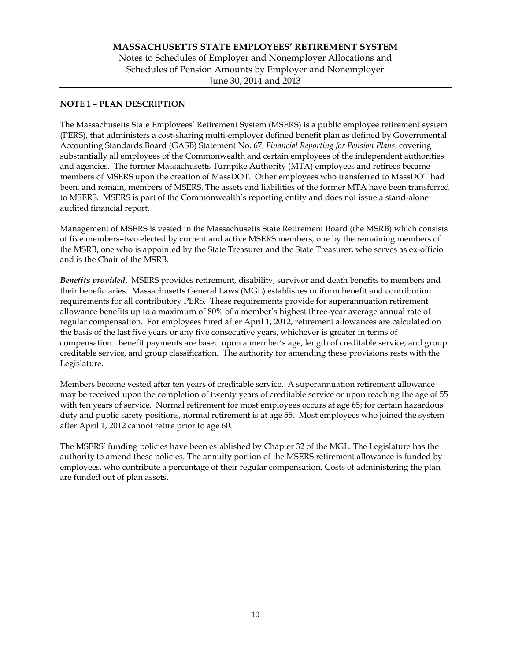# **MASSACHUSETTS STATE EMPLOYEES' RETIREMENT SYSTEM**  Notes to Schedules of Employer and Nonemployer Allocations and Schedules of Pension Amounts by Employer and Nonemployer June 30, 2014 and 2013

# **NOTE 1 – PLAN DESCRIPTION**

The Massachusetts State Employees' Retirement System (MSERS) is a public employee retirement system (PERS), that administers a cost-sharing multi-employer defined benefit plan as defined by Governmental Accounting Standards Board (GASB) Statement No. 67, *Financial Reporting for Pension Plans*, covering substantially all employees of the Commonwealth and certain employees of the independent authorities and agencies. The former Massachusetts Turnpike Authority (MTA) employees and retirees became members of MSERS upon the creation of MassDOT. Other employees who transferred to MassDOT had been, and remain, members of MSERS. The assets and liabilities of the former MTA have been transferred to MSERS. MSERS is part of the Commonwealth's reporting entity and does not issue a stand-alone audited financial report.

Management of MSERS is vested in the Massachusetts State Retirement Board (the MSRB) which consists of five members–two elected by current and active MSERS members, one by the remaining members of the MSRB, one who is appointed by the State Treasurer and the State Treasurer, who serves as ex-officio and is the Chair of the MSRB.

*Benefits provided***.** MSERS provides retirement, disability, survivor and death benefits to members and their beneficiaries. Massachusetts General Laws (MGL) establishes uniform benefit and contribution requirements for all contributory PERS. These requirements provide for superannuation retirement allowance benefits up to a maximum of 80% of a member's highest three-year average annual rate of regular compensation. For employees hired after April 1, 2012, retirement allowances are calculated on the basis of the last five years or any five consecutive years, whichever is greater in terms of compensation. Benefit payments are based upon a member's age, length of creditable service, and group creditable service, and group classification. The authority for amending these provisions rests with the Legislature.

Members become vested after ten years of creditable service. A superannuation retirement allowance may be received upon the completion of twenty years of creditable service or upon reaching the age of 55 with ten years of service. Normal retirement for most employees occurs at age 65; for certain hazardous duty and public safety positions, normal retirement is at age 55. Most employees who joined the system after April 1, 2012 cannot retire prior to age 60.

The MSERS' funding policies have been established by Chapter 32 of the MGL. The Legislature has the authority to amend these policies. The annuity portion of the MSERS retirement allowance is funded by employees, who contribute a percentage of their regular compensation. Costs of administering the plan are funded out of plan assets.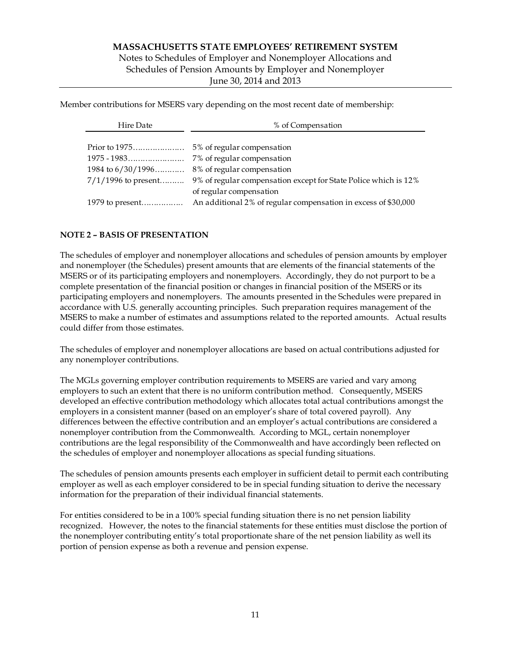# **MASSACHUSETTS STATE EMPLOYEES' RETIREMENT SYSTEM**  Notes to Schedules of Employer and Nonemployer Allocations and Schedules of Pension Amounts by Employer and Nonemployer June 30, 2014 and 2013

Member contributions for MSERS vary depending on the most recent date of membership:

| Hire Date             | % of Compensation                                               |  |  |
|-----------------------|-----------------------------------------------------------------|--|--|
|                       |                                                                 |  |  |
| Prior to $1975$       | 5% of regular compensation                                      |  |  |
|                       | 7% of regular compensation                                      |  |  |
| 1984 to $6/30/1996$   | 8% of regular compensation                                      |  |  |
| $7/1/1996$ to present | 9% of regular compensation except for State Police which is 12% |  |  |
|                       | of regular compensation                                         |  |  |
|                       | An additional 2% of regular compensation in excess of \$30,000  |  |  |

# **NOTE 2 – BASIS OF PRESENTATION**

The schedules of employer and nonemployer allocations and schedules of pension amounts by employer and nonemployer (the Schedules) present amounts that are elements of the financial statements of the MSERS or of its participating employers and nonemployers. Accordingly, they do not purport to be a complete presentation of the financial position or changes in financial position of the MSERS or its participating employers and nonemployers. The amounts presented in the Schedules were prepared in accordance with U.S. generally accounting principles. Such preparation requires management of the MSERS to make a number of estimates and assumptions related to the reported amounts. Actual results could differ from those estimates.

The schedules of employer and nonemployer allocations are based on actual contributions adjusted for any nonemployer contributions.

The MGLs governing employer contribution requirements to MSERS are varied and vary among employers to such an extent that there is no uniform contribution method. Consequently, MSERS developed an effective contribution methodology which allocates total actual contributions amongst the employers in a consistent manner (based on an employer's share of total covered payroll). Any differences between the effective contribution and an employer's actual contributions are considered a nonemployer contribution from the Commonwealth. According to MGL, certain nonemployer contributions are the legal responsibility of the Commonwealth and have accordingly been reflected on the schedules of employer and nonemployer allocations as special funding situations.

The schedules of pension amounts presents each employer in sufficient detail to permit each contributing employer as well as each employer considered to be in special funding situation to derive the necessary information for the preparation of their individual financial statements.

For entities considered to be in a 100% special funding situation there is no net pension liability recognized. However, the notes to the financial statements for these entities must disclose the portion of the nonemployer contributing entity's total proportionate share of the net pension liability as well its portion of pension expense as both a revenue and pension expense.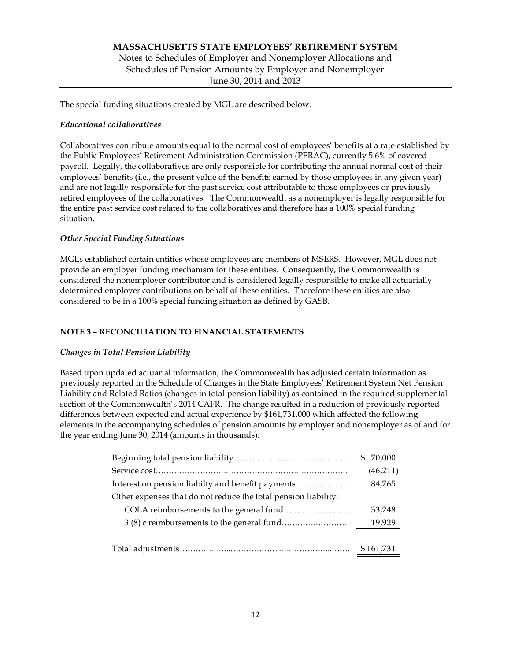# **MASSACHUSETTS STATE EMPLOYEES' RETIREMENT SYSTEM**  Notes to Schedules of Employer and Nonemployer Allocations and Schedules of Pension Amounts by Employer and Nonemployer June 30, 2014 and 2013

The special funding situations created by MGL are described below.

## *Educational collaboratives*

Collaboratives contribute amounts equal to the normal cost of employees' benefits at a rate established by the Public Employees' Retirement Administration Commission (PERAC), currently 5.6% of covered payroll. Legally, the collaboratives are only responsible for contributing the annual normal cost of their employees' benefits (i.e., the present value of the benefits earned by those employees in any given year) and are not legally responsible for the past service cost attributable to those employees or previously retired employees of the collaboratives. The Commonwealth as a nonemployer is legally responsible for the entire past service cost related to the collaboratives and therefore has a 100% special funding situation.

# *Other Special Funding Situations*

MGLs established certain entities whose employees are members of MSERS. However, MGL does not provide an employer funding mechanism for these entities. Consequently, the Commonwealth is considered the nonemployer contributor and is considered legally responsible to make all actuarially determined employer contributions on behalf of these entities. Therefore these entities are also considered to be in a 100% special funding situation as defined by GASB.

# **NOTE 3 – RECONCILIATION TO FINANCIAL STATEMENTS**

## *Changes in Total Pension Liability*

Based upon updated actuarial information, the Commonwealth has adjusted certain information as previously reported in the Schedule of Changes in the State Employees' Retirement System Net Pension Liability and Related Ratios (changes in total pension liability) as contained in the required supplemental section of the Commonwealth's 2014 CAFR. The change resulted in a reduction of previously reported differences between expected and actual experience by \$161,731,000 which affected the following elements in the accompanying schedules of pension amounts by employer and nonemployer as of and for the year ending June 30, 2014 (amounts in thousands):

|                                                                | \$ 70,000 |
|----------------------------------------------------------------|-----------|
|                                                                | (46,211)  |
|                                                                | 84,765    |
| Other expenses that do not reduce the total pension liability: |           |
|                                                                | 33.248    |
|                                                                | 19,929    |
|                                                                |           |
|                                                                | \$161,731 |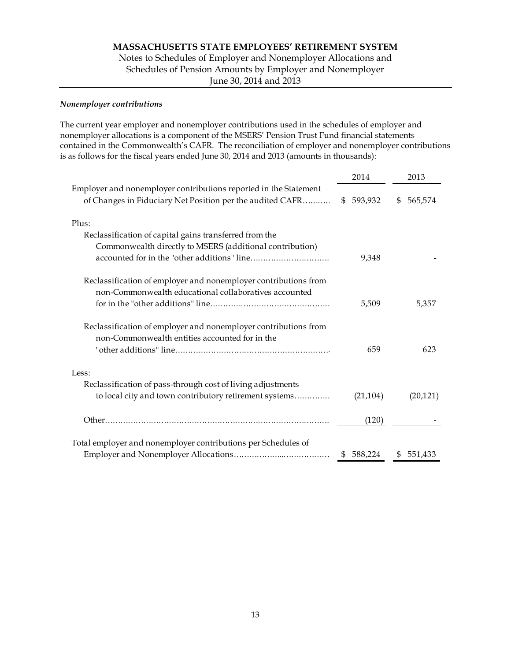Notes to Schedules of Employer and Nonemployer Allocations and Schedules of Pension Amounts by Employer and Nonemployer June 30, 2014 and 2013

## *Nonemployer contributions*

The current year employer and nonemployer contributions used in the schedules of employer and nonemployer allocations is a component of the MSERS' Pension Trust Fund financial statements contained in the Commonwealth's CAFR. The reconciliation of employer and nonemployer contributions is as follows for the fiscal years ended June 30, 2014 and 2013 (amounts in thousands):

|                                                                                                                               | 2014      | 2013          |
|-------------------------------------------------------------------------------------------------------------------------------|-----------|---------------|
| Employer and nonemployer contributions reported in the Statement<br>of Changes in Fiduciary Net Position per the audited CAFR | \$593,932 | \$<br>565,574 |
| Plus:                                                                                                                         |           |               |
| Reclassification of capital gains transferred from the                                                                        |           |               |
| Commonwealth directly to MSERS (additional contribution)                                                                      | 9,348     |               |
| Reclassification of employer and nonemployer contributions from                                                               |           |               |
| non-Commonwealth educational collaboratives accounted                                                                         |           |               |
|                                                                                                                               | 5,509     | 5,357         |
| Reclassification of employer and nonemployer contributions from                                                               |           |               |
| non-Commonwealth entities accounted for in the                                                                                | 659       | 623           |
|                                                                                                                               |           |               |
| Less:                                                                                                                         |           |               |
| Reclassification of pass-through cost of living adjustments                                                                   |           |               |
| to local city and town contributory retirement systems                                                                        | (21, 104) | (20, 121)     |
|                                                                                                                               | (120)     |               |
|                                                                                                                               |           |               |
| Total employer and nonemployer contributions per Schedules of                                                                 |           |               |
|                                                                                                                               | \$588,224 | \$ 551,433    |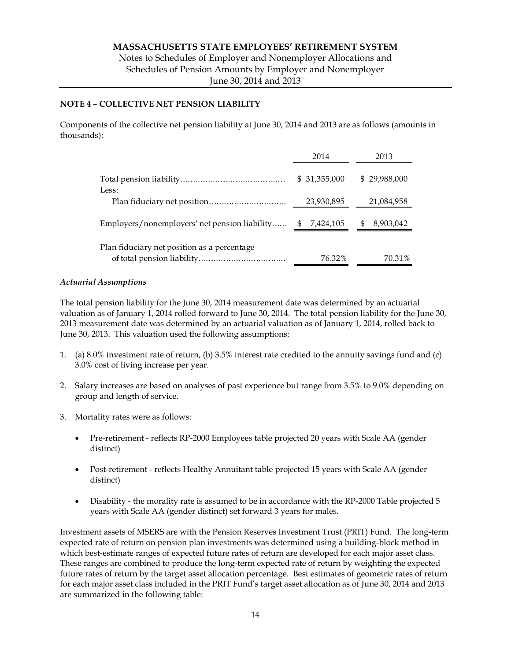Notes to Schedules of Employer and Nonemployer Allocations and Schedules of Pension Amounts by Employer and Nonemployer June 30, 2014 and 2013

## **NOTE 4 – COLLECTIVE NET PENSION LIABILITY**

Components of the collective net pension liability at June 30, 2014 and 2013 are as follows (amounts in thousands):

|                                               | 2014            | 2013           |
|-----------------------------------------------|-----------------|----------------|
| Less:                                         | \$31,355,000    | \$29,988,000   |
|                                               | 23,930,895      | 21,084,958     |
| Employers/nonemployers' net pension liability | 7,424,105<br>S. | S<br>8,903,042 |
| Plan fiduciary net position as a percentage   | 76.32%          | 70.31%         |

## *Actuarial Assumptions*

The total pension liability for the June 30, 2014 measurement date was determined by an actuarial valuation as of January 1, 2014 rolled forward to June 30, 2014. The total pension liability for the June 30, 2013 measurement date was determined by an actuarial valuation as of January 1, 2014, rolled back to June 30, 2013. This valuation used the following assumptions:

- 1. (a) 8.0% investment rate of return, (b) 3.5% interest rate credited to the annuity savings fund and (c) 3.0% cost of living increase per year.
- 2. Salary increases are based on analyses of past experience but range from 3.5% to 9.0% depending on group and length of service.
- 3. Mortality rates were as follows:
	- Pre-retirement reflects RP-2000 Employees table projected 20 years with Scale AA (gender distinct)
	- Post-retirement reflects Healthy Annuitant table projected 15 years with Scale AA (gender distinct)
	- Disability the morality rate is assumed to be in accordance with the RP-2000 Table projected 5 years with Scale AA (gender distinct) set forward 3 years for males.

Investment assets of MSERS are with the Pension Reserves Investment Trust (PRIT) Fund. The long-term expected rate of return on pension plan investments was determined using a building-block method in which best-estimate ranges of expected future rates of return are developed for each major asset class. These ranges are combined to produce the long-term expected rate of return by weighting the expected future rates of return by the target asset allocation percentage. Best estimates of geometric rates of return for each major asset class included in the PRIT Fund's target asset allocation as of June 30, 2014 and 2013 are summarized in the following table: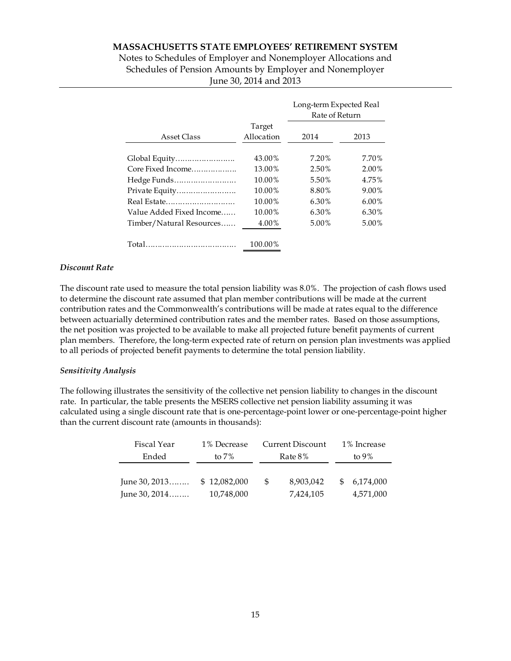Notes to Schedules of Employer and Nonemployer Allocations and Schedules of Pension Amounts by Employer and Nonemployer June 30, 2014 and 2013

|                          |                      | Long-term Expected Real<br>Rate of Return |          |  |
|--------------------------|----------------------|-------------------------------------------|----------|--|
| Asset Class              | Target<br>Allocation | 2014                                      | 2013     |  |
| Global Equity            | 43.00%               | 7.20%                                     | 7.70%    |  |
| Core Fixed Income        | 13.00%               | 2.50%                                     | 2.00%    |  |
| Hedge Funds              | 10.00%               | 5.50%                                     | 4.75%    |  |
| Private Equity           | 10.00%               | 8.80%                                     | 9.00%    |  |
| Real Estate              | 10.00%               | 6.30%                                     | $6.00\%$ |  |
| Value Added Fixed Income | 10.00%               | 6.30%                                     | 6.30%    |  |
| Timber/Natural Resources | 4.00%                | 5.00%                                     | 5.00%    |  |
|                          | 100.00%              |                                           |          |  |

#### *Discount Rate*

The discount rate used to measure the total pension liability was 8.0%. The projection of cash flows used to determine the discount rate assumed that plan member contributions will be made at the current contribution rates and the Commonwealth's contributions will be made at rates equal to the difference between actuarially determined contribution rates and the member rates. Based on those assumptions, the net position was projected to be available to make all projected future benefit payments of current plan members. Therefore, the long-term expected rate of return on pension plan investments was applied to all periods of projected benefit payments to determine the total pension liability.

### *Sensitivity Analysis*

The following illustrates the sensitivity of the collective net pension liability to changes in the discount rate. In particular, the table presents the MSERS collective net pension liability assuming it was calculated using a single discount rate that is one-percentage-point lower or one-percentage-point higher than the current discount rate (amounts in thousands):

| Fiscal Year   | 1% Decrease  | Current Discount |           | 1% Increase |           |
|---------------|--------------|------------------|-----------|-------------|-----------|
| Ended         | to $7\%$     | Rate 8%          |           | to $9\%$    |           |
|               |              |                  |           |             |           |
| June 30, 2013 | \$12,082,000 | £6               | 8,903,042 | S           | 6,174,000 |
| June 30, 2014 | 10,748,000   |                  | 7,424,105 |             | 4,571,000 |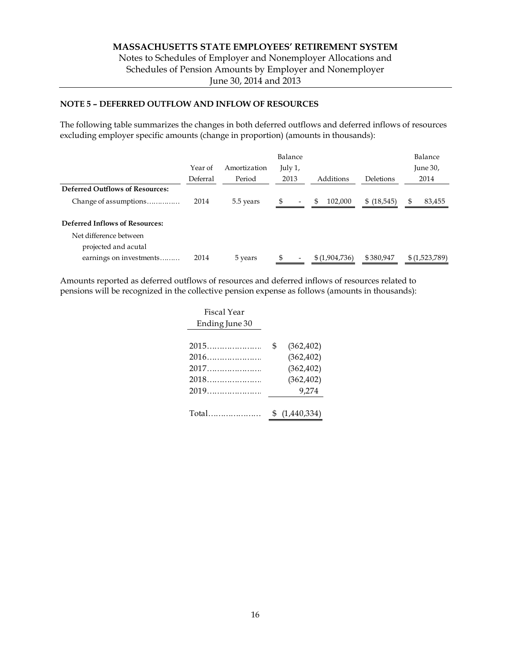Notes to Schedules of Employer and Nonemployer Allocations and Schedules of Pension Amounts by Employer and Nonemployer June 30, 2014 and 2013

## **NOTE 5 – DEFERRED OUTFLOW AND INFLOW OF RESOURCES**

The following table summarizes the changes in both deferred outflows and deferred inflows of resources excluding employer specific amounts (change in proportion) (amounts in thousands):

|                                        |          |              | Balance                        |               |             | Balance       |
|----------------------------------------|----------|--------------|--------------------------------|---------------|-------------|---------------|
|                                        | Year of  | Amortization | July 1,                        |               |             | June 30,      |
|                                        | Deferral | Period       | 2013                           | Additions     | Deletions   | 2014          |
| <b>Deferred Outflows of Resources:</b> |          |              |                                |               |             |               |
| Change of assumptions                  | 2014     | 5.5 years    | \$<br>$\overline{\phantom{0}}$ | 102.000<br>\$ | \$ (18,545) | 83,455        |
| Deferred Inflows of Resources:         |          |              |                                |               |             |               |
| Net difference between                 |          |              |                                |               |             |               |
| projected and acutal                   |          |              |                                |               |             |               |
| earnings on investments                | 2014     | 5 years      |                                | \$(1,904,736) | \$380,947   | \$(1,523,789) |

Amounts reported as deferred outflows of resources and deferred inflows of resources related to pensions will be recognized in the collective pension expense as follows (amounts in thousands):

| Fiscal Year    |                  |
|----------------|------------------|
| Ending June 30 |                  |
|                |                  |
| 2015           | \$<br>(362, 402) |
| $2016$         | (362, 402)       |
|                | (362, 402)       |
| $2018$         | (362, 402)       |
|                | 9.274            |
|                |                  |
| Total          | (1,440,334)      |